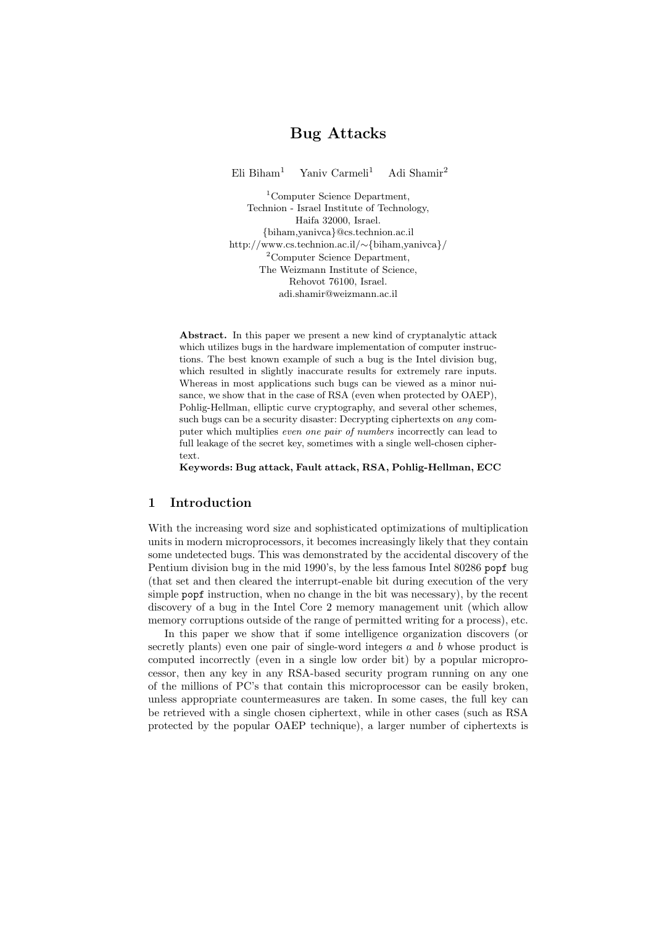# Bug Attacks

Eli Biham<sup>1</sup> Yaniv Carmeli<sup>1</sup> Adi Shamir<sup>2</sup>

<sup>1</sup>Computer Science Department, Technion - Israel Institute of Technology, Haifa 32000, Israel. {biham,yanivca}@cs.technion.ac.il http://www.cs.technion.ac.il/∼{biham,yanivca}/ <sup>2</sup>Computer Science Department, The Weizmann Institute of Science, Rehovot 76100, Israel. adi.shamir@weizmann.ac.il

Abstract. In this paper we present a new kind of cryptanalytic attack which utilizes bugs in the hardware implementation of computer instructions. The best known example of such a bug is the Intel division bug, which resulted in slightly inaccurate results for extremely rare inputs. Whereas in most applications such bugs can be viewed as a minor nuisance, we show that in the case of RSA (even when protected by OAEP), Pohlig-Hellman, elliptic curve cryptography, and several other schemes, such bugs can be a security disaster: Decrypting ciphertexts on any computer which multiplies even one pair of numbers incorrectly can lead to full leakage of the secret key, sometimes with a single well-chosen ciphertext.

Keywords: Bug attack, Fault attack, RSA, Pohlig-Hellman, ECC

### 1 Introduction

With the increasing word size and sophisticated optimizations of multiplication units in modern microprocessors, it becomes increasingly likely that they contain some undetected bugs. This was demonstrated by the accidental discovery of the Pentium division bug in the mid 1990's, by the less famous Intel 80286 popf bug (that set and then cleared the interrupt-enable bit during execution of the very simple popf instruction, when no change in the bit was necessary), by the recent discovery of a bug in the Intel Core 2 memory management unit (which allow memory corruptions outside of the range of permitted writing for a process), etc.

In this paper we show that if some intelligence organization discovers (or secretly plants) even one pair of single-word integers  $a$  and  $b$  whose product is computed incorrectly (even in a single low order bit) by a popular microprocessor, then any key in any RSA-based security program running on any one of the millions of PC's that contain this microprocessor can be easily broken, unless appropriate countermeasures are taken. In some cases, the full key can be retrieved with a single chosen ciphertext, while in other cases (such as RSA protected by the popular OAEP technique), a larger number of ciphertexts is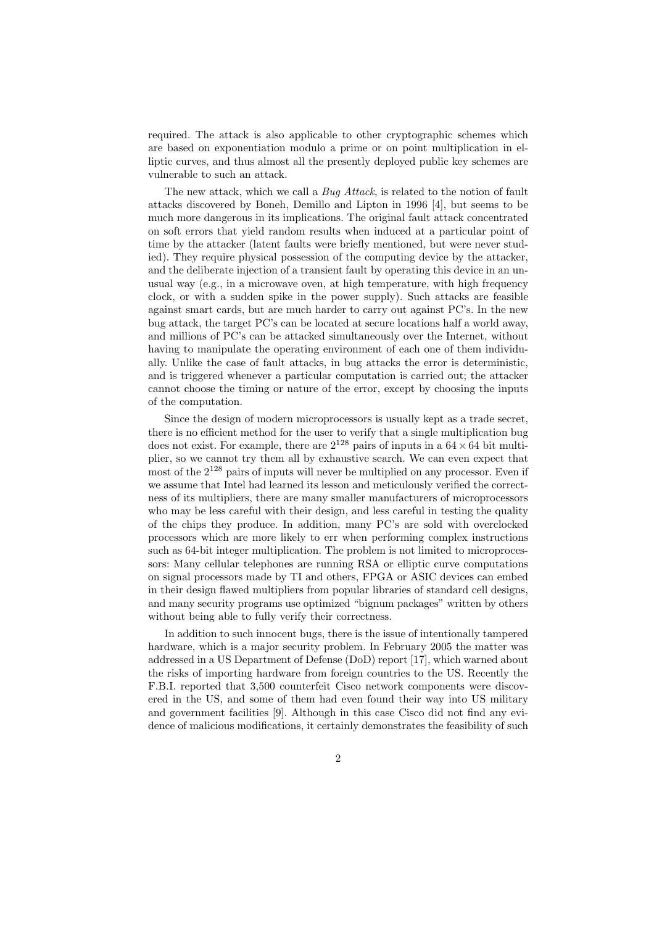required. The attack is also applicable to other cryptographic schemes which are based on exponentiation modulo a prime or on point multiplication in elliptic curves, and thus almost all the presently deployed public key schemes are vulnerable to such an attack.

The new attack, which we call a Bug Attack, is related to the notion of fault attacks discovered by Boneh, Demillo and Lipton in 1996 [4], but seems to be much more dangerous in its implications. The original fault attack concentrated on soft errors that yield random results when induced at a particular point of time by the attacker (latent faults were briefly mentioned, but were never studied). They require physical possession of the computing device by the attacker, and the deliberate injection of a transient fault by operating this device in an unusual way (e.g., in a microwave oven, at high temperature, with high frequency clock, or with a sudden spike in the power supply). Such attacks are feasible against smart cards, but are much harder to carry out against PC's. In the new bug attack, the target PC's can be located at secure locations half a world away, and millions of PC's can be attacked simultaneously over the Internet, without having to manipulate the operating environment of each one of them individually. Unlike the case of fault attacks, in bug attacks the error is deterministic, and is triggered whenever a particular computation is carried out; the attacker cannot choose the timing or nature of the error, except by choosing the inputs of the computation.

Since the design of modern microprocessors is usually kept as a trade secret, there is no efficient method for the user to verify that a single multiplication bug does not exist. For example, there are  $2^{128}$  pairs of inputs in a  $64 \times 64$  bit multiplier, so we cannot try them all by exhaustive search. We can even expect that most of the  $2^{128}$  pairs of inputs will never be multiplied on any processor. Even if we assume that Intel had learned its lesson and meticulously verified the correctness of its multipliers, there are many smaller manufacturers of microprocessors who may be less careful with their design, and less careful in testing the quality of the chips they produce. In addition, many PC's are sold with overclocked processors which are more likely to err when performing complex instructions such as 64-bit integer multiplication. The problem is not limited to microprocessors: Many cellular telephones are running RSA or elliptic curve computations on signal processors made by TI and others, FPGA or ASIC devices can embed in their design flawed multipliers from popular libraries of standard cell designs, and many security programs use optimized "bignum packages" written by others without being able to fully verify their correctness.

In addition to such innocent bugs, there is the issue of intentionally tampered hardware, which is a major security problem. In February 2005 the matter was addressed in a US Department of Defense (DoD) report [17], which warned about the risks of importing hardware from foreign countries to the US. Recently the F.B.I. reported that 3,500 counterfeit Cisco network components were discovered in the US, and some of them had even found their way into US military and government facilities [9]. Although in this case Cisco did not find any evidence of malicious modifications, it certainly demonstrates the feasibility of such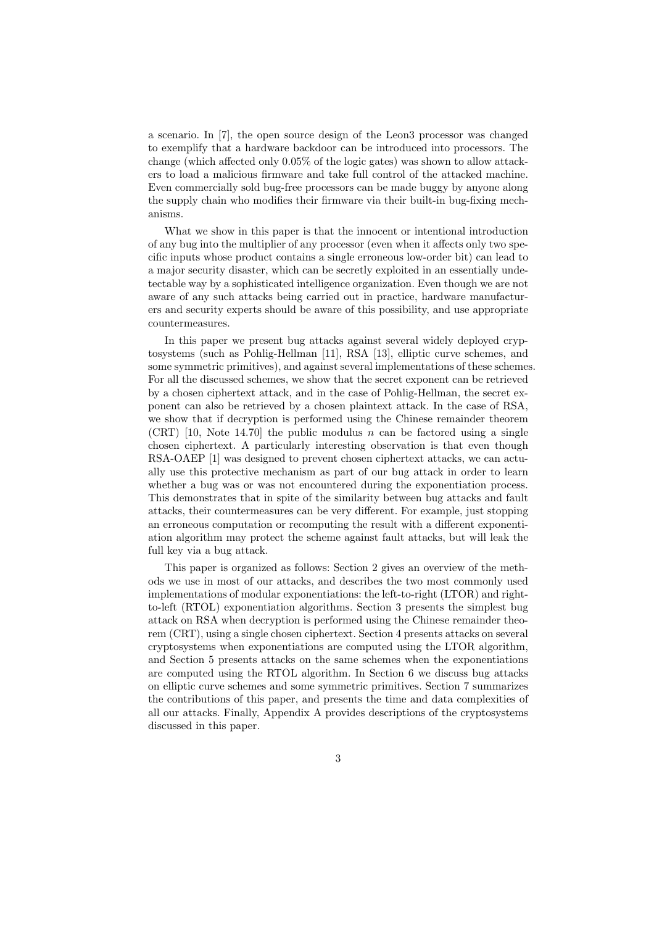a scenario. In [7], the open source design of the Leon3 processor was changed to exemplify that a hardware backdoor can be introduced into processors. The change (which affected only 0.05% of the logic gates) was shown to allow attackers to load a malicious firmware and take full control of the attacked machine. Even commercially sold bug-free processors can be made buggy by anyone along the supply chain who modifies their firmware via their built-in bug-fixing mechanisms.

What we show in this paper is that the innocent or intentional introduction of any bug into the multiplier of any processor (even when it affects only two specific inputs whose product contains a single erroneous low-order bit) can lead to a major security disaster, which can be secretly exploited in an essentially undetectable way by a sophisticated intelligence organization. Even though we are not aware of any such attacks being carried out in practice, hardware manufacturers and security experts should be aware of this possibility, and use appropriate countermeasures.

In this paper we present bug attacks against several widely deployed cryptosystems (such as Pohlig-Hellman [11], RSA [13], elliptic curve schemes, and some symmetric primitives), and against several implementations of these schemes. For all the discussed schemes, we show that the secret exponent can be retrieved by a chosen ciphertext attack, and in the case of Pohlig-Hellman, the secret exponent can also be retrieved by a chosen plaintext attack. In the case of RSA, we show that if decryption is performed using the Chinese remainder theorem (CRT) [10, Note 14.70] the public modulus n can be factored using a single chosen ciphertext. A particularly interesting observation is that even though RSA-OAEP [1] was designed to prevent chosen ciphertext attacks, we can actually use this protective mechanism as part of our bug attack in order to learn whether a bug was or was not encountered during the exponentiation process. This demonstrates that in spite of the similarity between bug attacks and fault attacks, their countermeasures can be very different. For example, just stopping an erroneous computation or recomputing the result with a different exponentiation algorithm may protect the scheme against fault attacks, but will leak the full key via a bug attack.

This paper is organized as follows: Section 2 gives an overview of the methods we use in most of our attacks, and describes the two most commonly used implementations of modular exponentiations: the left-to-right (LTOR) and rightto-left (RTOL) exponentiation algorithms. Section 3 presents the simplest bug attack on RSA when decryption is performed using the Chinese remainder theorem (CRT), using a single chosen ciphertext. Section 4 presents attacks on several cryptosystems when exponentiations are computed using the LTOR algorithm, and Section 5 presents attacks on the same schemes when the exponentiations are computed using the RTOL algorithm. In Section 6 we discuss bug attacks on elliptic curve schemes and some symmetric primitives. Section 7 summarizes the contributions of this paper, and presents the time and data complexities of all our attacks. Finally, Appendix A provides descriptions of the cryptosystems discussed in this paper.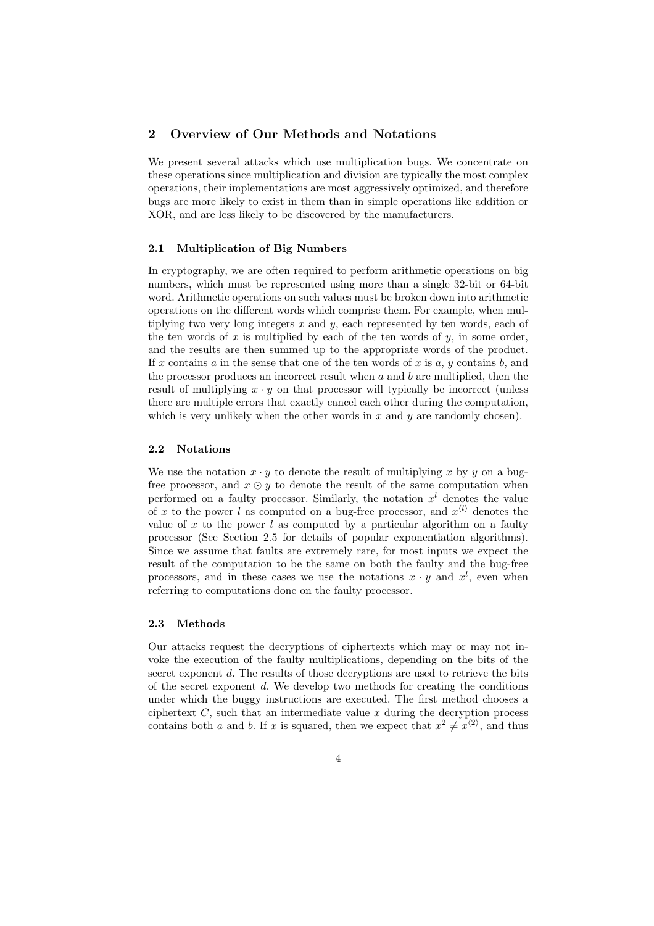# 2 Overview of Our Methods and Notations

We present several attacks which use multiplication bugs. We concentrate on these operations since multiplication and division are typically the most complex operations, their implementations are most aggressively optimized, and therefore bugs are more likely to exist in them than in simple operations like addition or XOR, and are less likely to be discovered by the manufacturers.

#### 2.1 Multiplication of Big Numbers

In cryptography, we are often required to perform arithmetic operations on big numbers, which must be represented using more than a single 32-bit or 64-bit word. Arithmetic operations on such values must be broken down into arithmetic operations on the different words which comprise them. For example, when multiplying two very long integers  $x$  and  $y$ , each represented by ten words, each of the ten words of  $x$  is multiplied by each of the ten words of  $y$ , in some order, and the results are then summed up to the appropriate words of the product. If x contains a in the sense that one of the ten words of x is  $a, y$  contains  $b,$  and the processor produces an incorrect result when  $a$  and  $b$  are multiplied, then the result of multiplying  $x \cdot y$  on that processor will typically be incorrect (unless there are multiple errors that exactly cancel each other during the computation, which is very unlikely when the other words in  $x$  and  $y$  are randomly chosen).

#### 2.2 Notations

We use the notation  $x \cdot y$  to denote the result of multiplying x by y on a bugfree processor, and  $x \odot y$  to denote the result of the same computation when performed on a faulty processor. Similarly, the notation  $x^l$  denotes the value of x to the power l as computed on a bug-free processor, and  $x^{(l)}$  denotes the value of x to the power  $l$  as computed by a particular algorithm on a faulty processor (See Section 2.5 for details of popular exponentiation algorithms). Since we assume that faults are extremely rare, for most inputs we expect the result of the computation to be the same on both the faulty and the bug-free processors, and in these cases we use the notations  $x \cdot y$  and  $x^l$ , even when referring to computations done on the faulty processor.

#### 2.3 Methods

Our attacks request the decryptions of ciphertexts which may or may not invoke the execution of the faulty multiplications, depending on the bits of the secret exponent d. The results of those decryptions are used to retrieve the bits of the secret exponent d. We develop two methods for creating the conditions under which the buggy instructions are executed. The first method chooses a ciphertext  $C$ , such that an intermediate value x during the decryption process contains both a and b. If x is squared, then we expect that  $x^2 \neq x^{\langle 2 \rangle}$ , and thus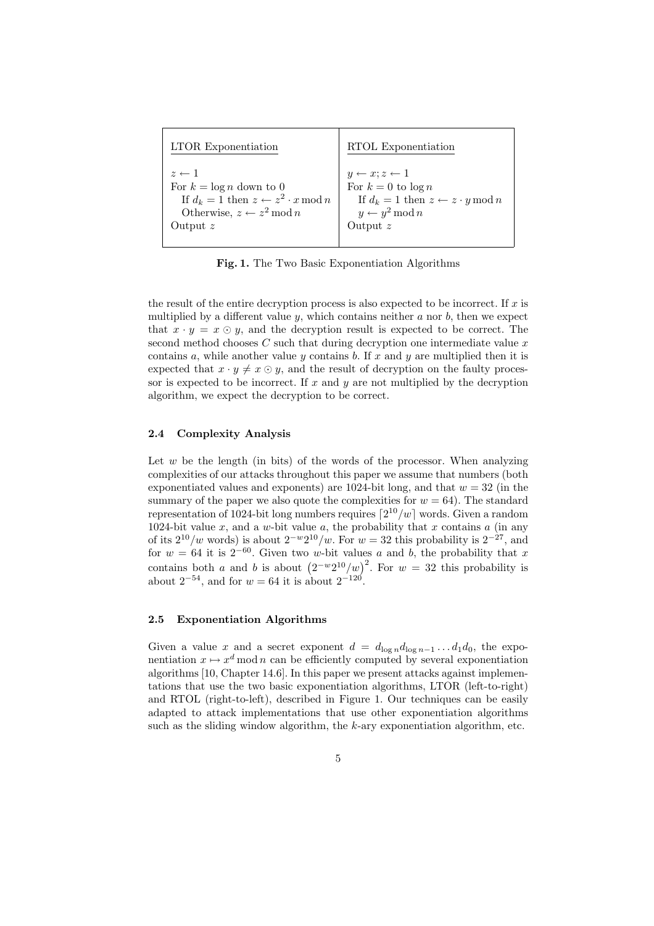| LTOR Exponentiation                                                                                                                                         | RTOL Exponentiation                                                                                                                                      |
|-------------------------------------------------------------------------------------------------------------------------------------------------------------|----------------------------------------------------------------------------------------------------------------------------------------------------------|
| $z \leftarrow 1$<br>For $k = \log n$ down to 0<br>If $d_k = 1$ then $z \leftarrow z^2 \cdot x \mod n$<br>Otherwise, $z \leftarrow z^2 \mod n$<br>Output $z$ | $y \leftarrow x; z \leftarrow 1$<br>For $k = 0$ to log n<br>If $d_k = 1$ then $z \leftarrow z \cdot y \mod n$<br>$y \leftarrow y^2 \mod n$<br>Output $z$ |

Fig. 1. The Two Basic Exponentiation Algorithms

the result of the entire decryption process is also expected to be incorrect. If  $x$  is multiplied by a different value  $y$ , which contains neither  $a$  nor  $b$ , then we expect that  $x \cdot y = x \odot y$ , and the decryption result is expected to be correct. The second method chooses  $C$  such that during decryption one intermediate value  $x$ contains  $a$ , while another value  $y$  contains  $b$ . If  $x$  and  $y$  are multiplied then it is expected that  $x \cdot y \neq x \odot y$ , and the result of decryption on the faulty processor is expected to be incorrect. If x and y are not multiplied by the decryption algorithm, we expect the decryption to be correct.

### 2.4 Complexity Analysis

Let  $w$  be the length (in bits) of the words of the processor. When analyzing complexities of our attacks throughout this paper we assume that numbers (both exponentiated values and exponents) are 1024-bit long, and that  $w = 32$  (in the summary of the paper we also quote the complexities for  $w = 64$ ). The standard representation of 1024-bit long numbers requires  $\lceil 2^{10}/w \rceil$  words. Given a random 1024-bit value x, and a w-bit value  $a$ , the probability that x contains  $a$  (in any of its  $2^{10}/w$  words) is about  $2^{-w}2^{10}/w$ . For  $w = 32$  this probability is  $2^{-27}$ , and for  $w = 64$  it is  $2^{-60}$ . Given two w-bit values a and b, the probability that x for  $w = 04$  it is 2 convenience we want values a and b, the probability that x contains both a and b is about  $(2^{-w}2^{10}/w)^2$ . For  $w = 32$  this probability is about  $2^{-54}$ , and for  $w = 64$  it is about  $2^{-120}$ .

### 2.5 Exponentiation Algorithms

Given a value x and a secret exponent  $d = d_{\log n} d_{\log n-1} \dots d_1 d_0$ , the exponentiation  $x \mapsto x^d \mod n$  can be efficiently computed by several exponentiation algorithms [10, Chapter 14.6]. In this paper we present attacks against implementations that use the two basic exponentiation algorithms, LTOR (left-to-right) and RTOL (right-to-left), described in Figure 1. Our techniques can be easily adapted to attack implementations that use other exponentiation algorithms such as the sliding window algorithm, the  $k$ -ary exponentiation algorithm, etc.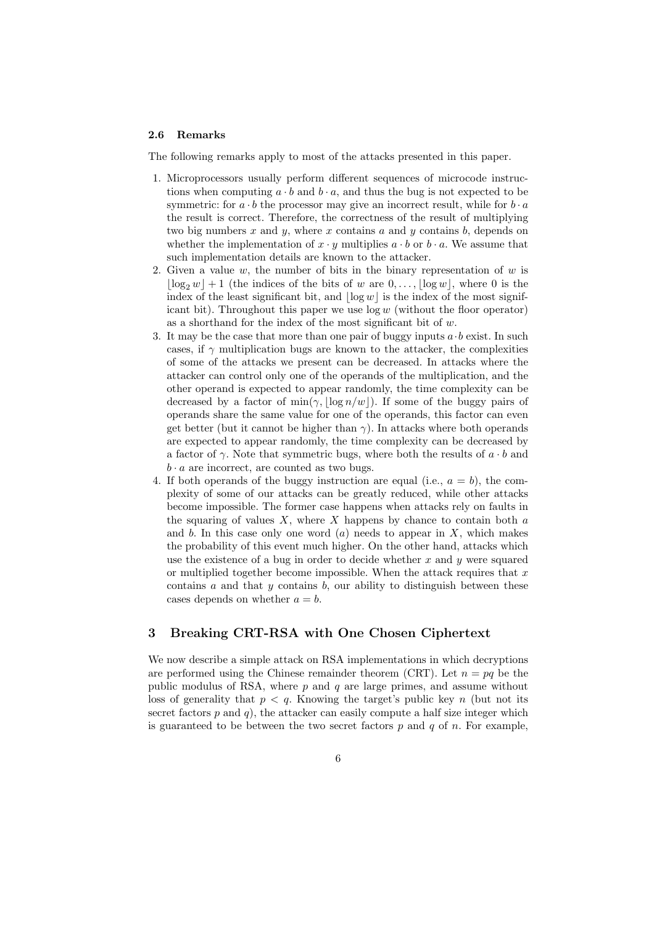#### 2.6 Remarks

The following remarks apply to most of the attacks presented in this paper.

- 1. Microprocessors usually perform different sequences of microcode instructions when computing  $a \cdot b$  and  $b \cdot a$ , and thus the bug is not expected to be symmetric: for  $a \cdot b$  the processor may give an incorrect result, while for  $b \cdot a$ the result is correct. Therefore, the correctness of the result of multiplying two big numbers x and y, where x contains a and y contains b, depends on whether the implementation of  $x \cdot y$  multiplies  $a \cdot b$  or  $b \cdot a$ . We assume that such implementation details are known to the attacker.
- 2. Given a value  $w$ , the number of bits in the binary representation of  $w$  is  $\log_2 w + 1$  (the indices of the bits of w are  $0, \ldots, \log w$ ), where 0 is the index of the least significant bit, and  $\log w$  is the index of the most significant bit). Throughout this paper we use  $log w$  (without the floor operator) as a shorthand for the index of the most significant bit of w.
- 3. It may be the case that more than one pair of buggy inputs  $a \cdot b$  exist. In such cases, if  $\gamma$  multiplication bugs are known to the attacker, the complexities of some of the attacks we present can be decreased. In attacks where the attacker can control only one of the operands of the multiplication, and the other operand is expected to appear randomly, the time complexity can be decreased by a factor of  $\min(\gamma, \lfloor \log n/w \rfloor)$ . If some of the buggy pairs of operands share the same value for one of the operands, this factor can even get better (but it cannot be higher than  $\gamma$ ). In attacks where both operands are expected to appear randomly, the time complexity can be decreased by a factor of  $\gamma$ . Note that symmetric bugs, where both the results of  $a \cdot b$  and  $b \cdot a$  are incorrect, are counted as two bugs.
- 4. If both operands of the buggy instruction are equal (i.e.,  $a = b$ ), the complexity of some of our attacks can be greatly reduced, while other attacks become impossible. The former case happens when attacks rely on faults in the squaring of values  $X$ , where  $X$  happens by chance to contain both  $a$ and b. In this case only one word  $(a)$  needs to appear in X, which makes the probability of this event much higher. On the other hand, attacks which use the existence of a bug in order to decide whether  $x$  and  $y$  were squared or multiplied together become impossible. When the attack requires that  $x$ contains a and that  $y$  contains  $b$ , our ability to distinguish between these cases depends on whether  $a = b$ .

# 3 Breaking CRT-RSA with One Chosen Ciphertext

We now describe a simple attack on RSA implementations in which decryptions are performed using the Chinese remainder theorem (CRT). Let  $n = pq$  be the public modulus of RSA, where  $p$  and  $q$  are large primes, and assume without loss of generality that  $p < q$ . Knowing the target's public key n (but not its secret factors  $p$  and  $q$ ), the attacker can easily compute a half size integer which is guaranteed to be between the two secret factors  $p$  and  $q$  of  $n$ . For example,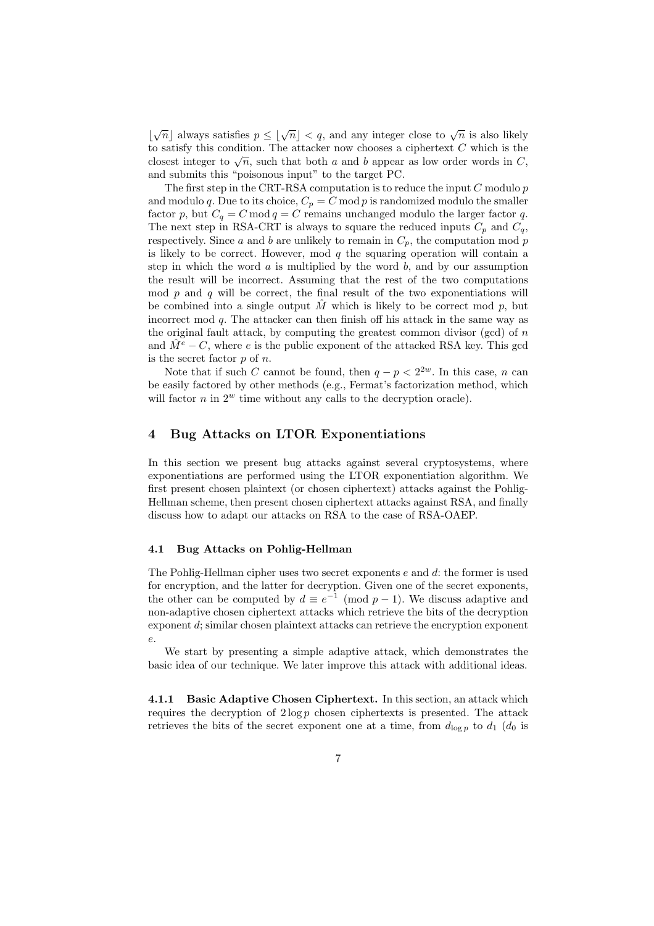$|\sqrt{n}|$  always satisfies  $p \leq |\sqrt{n}| < q$ , and any integer close to  $\sqrt{n}$  is also likely to satisfy this condition. The attacker now chooses a ciphertext C which is the to satisfy this condition. The attacker how chooses a ciphertext  $C$  which is the closest integer to  $\sqrt{n}$ , such that both a and b appear as low order words in C, and submits this "poisonous input" to the target PC.

The first step in the CRT-RSA computation is to reduce the input  $C$  modulo  $p$ and modulo q. Due to its choice,  $C_p = C \mod p$  is randomized modulo the smaller factor p, but  $C_q = C \mod q = C$  remains unchanged modulo the larger factor q. The next step in RSA-CRT is always to square the reduced inputs  $C_p$  and  $C_q$ , respectively. Since a and b are unlikely to remain in  $C_p$ , the computation mod p is likely to be correct. However, mod  $q$  the squaring operation will contain a step in which the word  $\alpha$  is multiplied by the word  $\delta$ , and by our assumption the result will be incorrect. Assuming that the rest of the two computations mod  $p$  and  $q$  will be correct, the final result of the two exponentiations will be combined into a single output  $\hat{M}$  which is likely to be correct mod p, but incorrect mod q. The attacker can then finish off his attack in the same way as the original fault attack, by computing the greatest common divisor (gcd) of  $n$ and  $\hat{M}^e - C$ , where e is the public exponent of the attacked RSA key. This gcd is the secret factor  $p$  of  $n$ .

Note that if such C cannot be found, then  $q - p < 2^{2w}$ . In this case, n can be easily factored by other methods (e.g., Fermat's factorization method, which will factor  $n$  in  $2^w$  time without any calls to the decryption oracle).

### 4 Bug Attacks on LTOR Exponentiations

In this section we present bug attacks against several cryptosystems, where exponentiations are performed using the LTOR exponentiation algorithm. We first present chosen plaintext (or chosen ciphertext) attacks against the Pohlig-Hellman scheme, then present chosen ciphertext attacks against RSA, and finally discuss how to adapt our attacks on RSA to the case of RSA-OAEP.

#### 4.1 Bug Attacks on Pohlig-Hellman

The Pohlig-Hellman cipher uses two secret exponents  $e$  and  $d$ : the former is used for encryption, and the latter for decryption. Given one of the secret exponents, the other can be computed by  $d \equiv e^{-1} \pmod{p-1}$ . We discuss adaptive and non-adaptive chosen ciphertext attacks which retrieve the bits of the decryption exponent d; similar chosen plaintext attacks can retrieve the encryption exponent e.

We start by presenting a simple adaptive attack, which demonstrates the basic idea of our technique. We later improve this attack with additional ideas.

4.1.1 Basic Adaptive Chosen Ciphertext. In this section, an attack which requires the decryption of  $2 \log p$  chosen ciphertexts is presented. The attack retrieves the bits of the secret exponent one at a time, from  $d_{\log p}$  to  $d_1$  ( $d_0$  is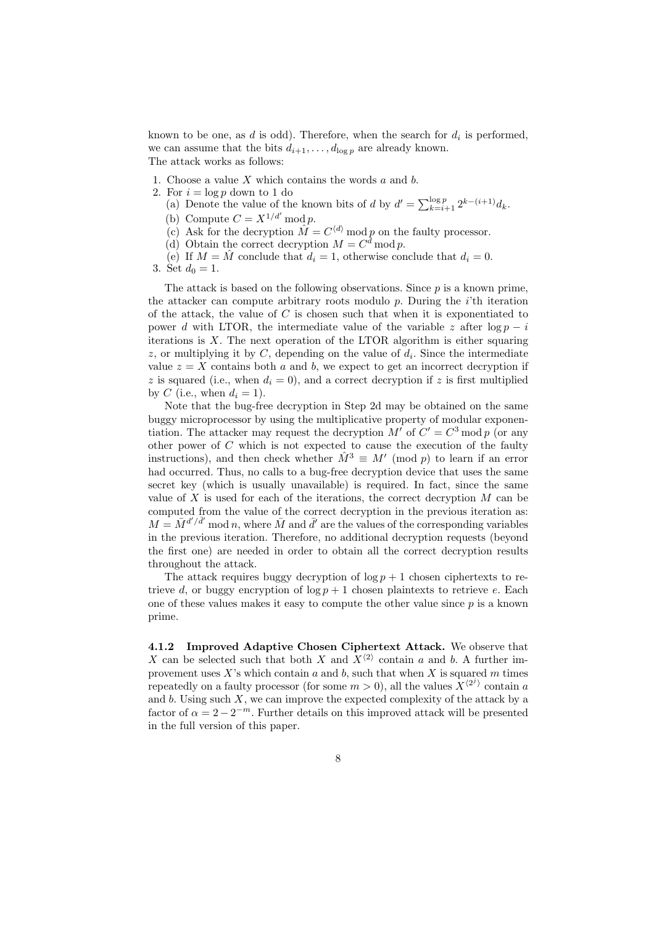known to be one, as  $d$  is odd). Therefore, when the search for  $d_i$  is performed, we can assume that the bits  $d_{i+1}, \ldots, d_{\log p}$  are already known. The attack works as follows:

- 1. Choose a value  $X$  which contains the words  $a$  and  $b$ .
- 2. For  $i = \log p$  down to 1 do
	- For  $i = \log p$  down to 1 do<br>
	(a) Denote the value of the known bits of d by  $d' = \sum_{k=i+1}^{\log p} 2^{k-(i+1)} d_k$ .
	- (b) Compute  $C = X^{1/d'} \mod p$ .
	- (c) Ask for the decryption  $\hat{M} = C^{(d)}$  mod p on the faulty processor.
	- (d) Obtain the correct decryption  $M = C<sup>d</sup>$  mod p.
- (e) If  $M = \tilde{M}$  conclude that  $d_i = 1$ , otherwise conclude that  $d_i = 0$ . 3. Set  $d_0 = 1$ .

The attack is based on the following observations. Since  $p$  is a known prime, the attacker can compute arbitrary roots modulo  $p$ . During the *i*'th iteration of the attack, the value of  $C$  is chosen such that when it is exponentiated to power d with LTOR, the intermediate value of the variable z after  $\log p - i$ iterations is  $X$ . The next operation of the LTOR algorithm is either squaring z, or multiplying it by  $C$ , depending on the value of  $d_i$ . Since the intermediate value  $z = X$  contains both a and b, we expect to get an incorrect decryption if z is squared (i.e., when  $d_i = 0$ ), and a correct decryption if z is first multiplied by C (i.e., when  $d_i = 1$ ).

Note that the bug-free decryption in Step 2d may be obtained on the same buggy microprocessor by using the multiplicative property of modular exponentiation. The attacker may request the decryption M' of  $C' = C^3 \mod p$  (or any other power of  $C$  which is not expected to cause the execution of the faulty instructions), and then check whether  $\hat{M}^3 \equiv M' \pmod{p}$  to learn if an error had occurred. Thus, no calls to a bug-free decryption device that uses the same secret key (which is usually unavailable) is required. In fact, since the same value of  $X$  is used for each of the iterations, the correct decryption  $M$  can be computed from the value of the correct decryption in the previous iteration as:  $M = \overline{M}^{d'/\overline{d}'} \mod n$ , where  $\overline{M}$  and  $\overline{d}'$  are the values of the corresponding variables in the previous iteration. Therefore, no additional decryption requests (beyond the first one) are needed in order to obtain all the correct decryption results throughout the attack.

The attack requires buggy decryption of  $\log p + 1$  chosen ciphertexts to retrieve d, or buggy encryption of  $\log p + 1$  chosen plaintexts to retrieve e. Each one of these values makes it easy to compute the other value since  $p$  is a known prime.

4.1.2 Improved Adaptive Chosen Ciphertext Attack. We observe that X can be selected such that both X and  $X^{(2)}$  contain a and b. A further improvement uses  $X$ 's which contain  $a$  and  $b$ , such that when  $X$  is squared  $m$  times repeatedly on a faulty processor (for some  $m > 0$ ), all the values  $X^{(2^j)}$  contain a and  $b$ . Using such  $X$ , we can improve the expected complexity of the attack by a factor of  $\alpha = 2 - 2^{-m}$ . Further details on this improved attack will be presented in the full version of this paper.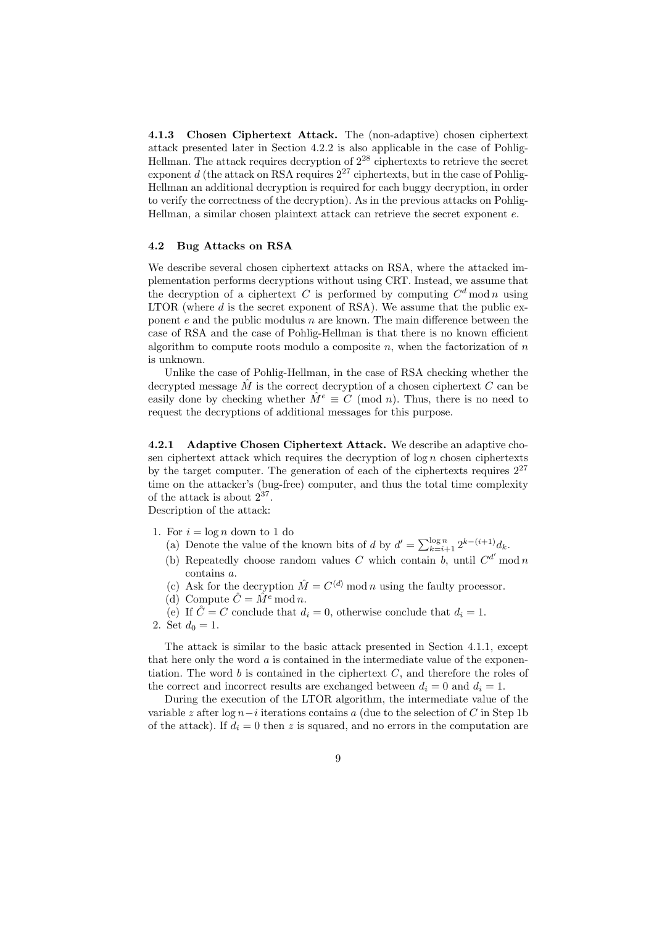4.1.3 Chosen Ciphertext Attack. The (non-adaptive) chosen ciphertext attack presented later in Section 4.2.2 is also applicable in the case of Pohlig-Hellman. The attack requires decryption of  $2^{28}$  ciphertexts to retrieve the secret exponent  $d$  (the attack on RSA requires  $2^{27}$  ciphertexts, but in the case of Pohlig-Hellman an additional decryption is required for each buggy decryption, in order to verify the correctness of the decryption). As in the previous attacks on Pohlig-Hellman, a similar chosen plaintext attack can retrieve the secret exponent e.

#### 4.2 Bug Attacks on RSA

We describe several chosen ciphertext attacks on RSA, where the attacked implementation performs decryptions without using CRT. Instead, we assume that the decryption of a ciphertext C is performed by computing  $C<sup>d</sup>$  mod n using LTOR (where  $d$  is the secret exponent of RSA). We assume that the public exponent  $e$  and the public modulus  $n$  are known. The main difference between the case of RSA and the case of Pohlig-Hellman is that there is no known efficient algorithm to compute roots modulo a composite  $n$ , when the factorization of  $n$ is unknown.

Unlike the case of Pohlig-Hellman, in the case of RSA checking whether the decrypted message  $\tilde{M}$  is the correct decryption of a chosen ciphertext C can be easily done by checking whether  $\hat{M}^e \equiv C \pmod{n}$ . Thus, there is no need to request the decryptions of additional messages for this purpose.

4.2.1 Adaptive Chosen Ciphertext Attack. We describe an adaptive chosen ciphertext attack which requires the decryption of  $\log n$  chosen ciphertexts by the target computer. The generation of each of the ciphertexts requires  $2^{27}$ time on the attacker's (bug-free) computer, and thus the total time complexity of the attack is about  $2^{37}$ .

Description of the attack:

- 1. For  $i = \log n$  down to 1 do
	- For  $i = \log n$  down to 1 do<br>
	(a) Denote the value of the known bits of d by  $d' = \sum_{k=i+1}^{\log n} 2^{k-(i+1)} d_k$ .
	- (b) Repeatedly choose random values C which contain b, until  $C^{d'}$  mod n contains a.
	- (c) Ask for the decryption  $\hat{M} = C^{\langle d \rangle} \text{ mod } n$  using the faulty processor.
	- (d) Compute  $\hat{C} = \hat{M}^e \mod n$ .
	- (e) If  $\hat{C} = C$  conclude that  $d_i = 0$ , otherwise conclude that  $d_i = 1$ .
- 2. Set  $d_0 = 1$ .

The attack is similar to the basic attack presented in Section 4.1.1, except that here only the word a is contained in the intermediate value of the exponentiation. The word  $b$  is contained in the ciphertext  $C$ , and therefore the roles of the correct and incorrect results are exchanged between  $d_i = 0$  and  $d_i = 1$ .

During the execution of the LTOR algorithm, the intermediate value of the variable z after  $\log n - i$  iterations contains a (due to the selection of C in Step 1b) of the attack). If  $d_i = 0$  then z is squared, and no errors in the computation are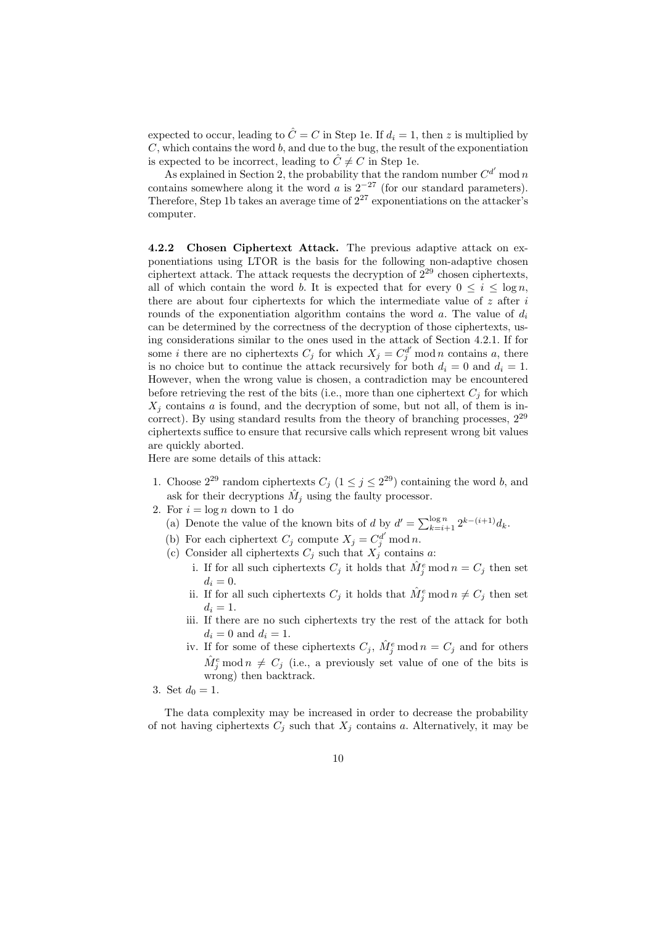expected to occur, leading to  $\hat{C} = C$  in Step 1e. If  $d_i = 1$ , then z is multiplied by  $C$ , which contains the word  $b$ , and due to the bug, the result of the exponentiation is expected to be incorrect, leading to  $\hat{C} \neq C$  in Step 1e.

As explained in Section 2, the probability that the random number  $C^{d'}$  mod n contains somewhere along it the word a is  $2^{-27}$  (for our standard parameters). Therefore, Step 1b takes an average time of  $2^{27}$  exponentiations on the attacker's computer.

4.2.2 Chosen Ciphertext Attack. The previous adaptive attack on exponentiations using LTOR is the basis for the following non-adaptive chosen ciphertext attack. The attack requests the decryption of  $2^{29}$  chosen ciphertexts, all of which contain the word b. It is expected that for every  $0 \leq i \leq \log n$ , there are about four ciphertexts for which the intermediate value of  $z$  after  $i$ rounds of the exponentiation algorithm contains the word a. The value of  $d_i$ can be determined by the correctness of the decryption of those ciphertexts, using considerations similar to the ones used in the attack of Section 4.2.1. If for some *i* there are no ciphertexts  $C_j$  for which  $X_j = C_j^{d'}$  mod *n* contains *a*, there is no choice but to continue the attack recursively for both  $d_i = 0$  and  $d_i = 1$ . However, when the wrong value is chosen, a contradiction may be encountered before retrieving the rest of the bits (i.e., more than one ciphertext  $C_j$  for which  $X_i$  contains a is found, and the decryption of some, but not all, of them is incorrect). By using standard results from the theory of branching processes, 2<sup>29</sup> ciphertexts suffice to ensure that recursive calls which represent wrong bit values are quickly aborted.

Here are some details of this attack:

- 1. Choose  $2^{29}$  random ciphertexts  $C_j$   $(1 \leq j \leq 2^{29})$  containing the word b, and ask for their decryptions  $\hat{M}_j$  using the faulty processor.
- 2. For  $i = \log n$  down to 1 do
	- (a) Denote the value of the known bits of d by  $d' = \sum_{k=i+1}^{\log n} 2^{k-(i+1)} d_k$ .
	- (b) For each ciphertext  $C_j$  compute  $X_j = C_j^{d'} \mod n$ .
	- (c) Consider all ciphertexts  $C_j$  such that  $X_j$  contains a:
		- i. If for all such ciphertexts  $C_j$  it holds that  $\hat{M}^e_j \text{ mod } n = C_j$  then set  $d_i = 0$ .
		- ii. If for all such ciphertexts  $C_j$  it holds that  $\hat{M}^e_j \mod n \neq C_j$  then set  $d_i = 1$ .
		- iii. If there are no such ciphertexts try the rest of the attack for both  $d_i = 0$  and  $d_i = 1$ .
		- iv. If for some of these ciphertexts  $C_j$ ,  $\hat{M}^e_j$  mod  $n = C_j$  and for others  $\hat{M}_{j}^{e} \text{ mod } n \neq C_{j}$  (i.e., a previously set value of one of the bits is wrong) then backtrack.
- 3. Set  $d_0 = 1$ .

The data complexity may be increased in order to decrease the probability of not having ciphertexts  $C_j$  such that  $X_j$  contains a. Alternatively, it may be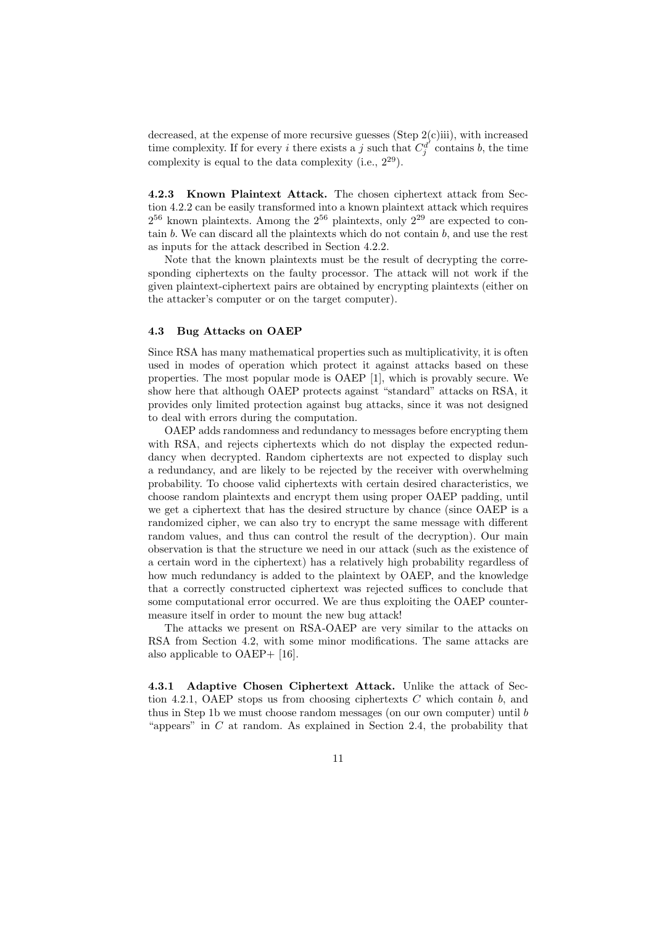decreased, at the expense of more recursive guesses (Step 2(c)iii), with increased time complexity. If for every i there exists a j such that  $C_j^{d'}$  contains b, the time complexity is equal to the data complexity (i.e.,  $2^{29}$ ).

4.2.3 Known Plaintext Attack. The chosen ciphertext attack from Section 4.2.2 can be easily transformed into a known plaintext attack which requires  $2^{56}$  known plaintexts. Among the  $2^{56}$  plaintexts, only  $2^{29}$  are expected to contain  $b$ . We can discard all the plaintexts which do not contain  $b$ , and use the rest as inputs for the attack described in Section 4.2.2.

Note that the known plaintexts must be the result of decrypting the corresponding ciphertexts on the faulty processor. The attack will not work if the given plaintext-ciphertext pairs are obtained by encrypting plaintexts (either on the attacker's computer or on the target computer).

#### 4.3 Bug Attacks on OAEP

Since RSA has many mathematical properties such as multiplicativity, it is often used in modes of operation which protect it against attacks based on these properties. The most popular mode is OAEP [1], which is provably secure. We show here that although OAEP protects against "standard" attacks on RSA, it provides only limited protection against bug attacks, since it was not designed to deal with errors during the computation.

OAEP adds randomness and redundancy to messages before encrypting them with RSA, and rejects ciphertexts which do not display the expected redundancy when decrypted. Random ciphertexts are not expected to display such a redundancy, and are likely to be rejected by the receiver with overwhelming probability. To choose valid ciphertexts with certain desired characteristics, we choose random plaintexts and encrypt them using proper OAEP padding, until we get a ciphertext that has the desired structure by chance (since OAEP is a randomized cipher, we can also try to encrypt the same message with different random values, and thus can control the result of the decryption). Our main observation is that the structure we need in our attack (such as the existence of a certain word in the ciphertext) has a relatively high probability regardless of how much redundancy is added to the plaintext by OAEP, and the knowledge that a correctly constructed ciphertext was rejected suffices to conclude that some computational error occurred. We are thus exploiting the OAEP countermeasure itself in order to mount the new bug attack!

The attacks we present on RSA-OAEP are very similar to the attacks on RSA from Section 4.2, with some minor modifications. The same attacks are also applicable to OAEP+ [16].

4.3.1 Adaptive Chosen Ciphertext Attack. Unlike the attack of Section 4.2.1, OAEP stops us from choosing ciphertexts  $C$  which contain  $b$ , and thus in Step 1b we must choose random messages (on our own computer) until b "appears" in  $C$  at random. As explained in Section 2.4, the probability that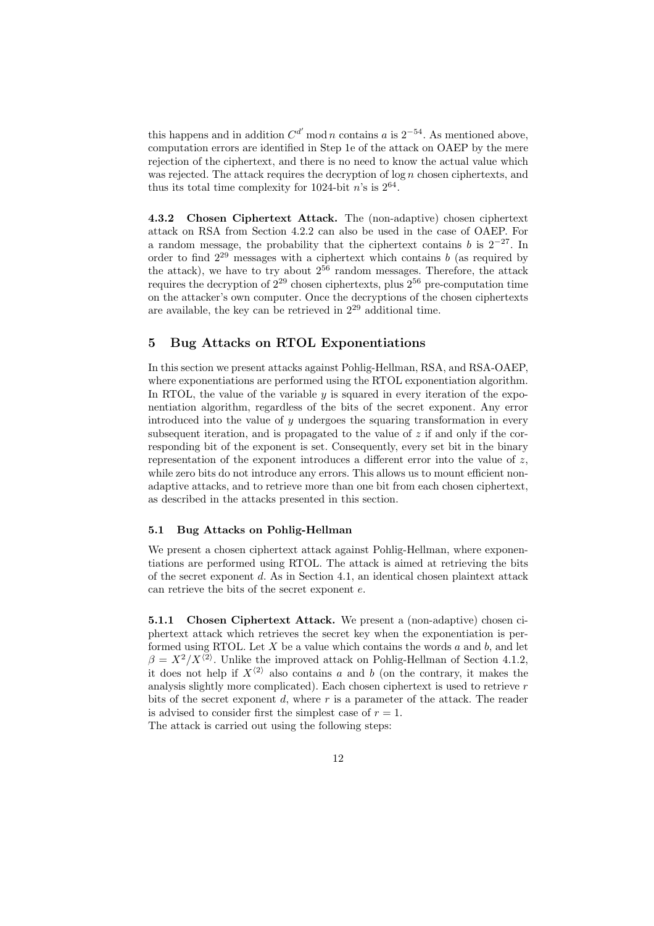this happens and in addition  $C^{d'}$  mod n contains a is  $2^{-54}$ . As mentioned above, computation errors are identified in Step 1e of the attack on OAEP by the mere rejection of the ciphertext, and there is no need to know the actual value which was rejected. The attack requires the decryption of  $\log n$  chosen ciphertexts, and thus its total time complexity for 1024-bit  $n$ 's is  $2^{64}$ .

4.3.2 Chosen Ciphertext Attack. The (non-adaptive) chosen ciphertext attack on RSA from Section 4.2.2 can also be used in the case of OAEP. For a random message, the probability that the ciphertext contains b is  $2^{-27}$ . In order to find  $2^{29}$  messages with a ciphertext which contains b (as required by the attack), we have to try about  $2^{56}$  random messages. Therefore, the attack requires the decryption of  $2^{29}$  chosen ciphertexts, plus  $2^{56}$  pre-computation time on the attacker's own computer. Once the decryptions of the chosen ciphertexts are available, the key can be retrieved in  $2^{29}$  additional time.

## 5 Bug Attacks on RTOL Exponentiations

In this section we present attacks against Pohlig-Hellman, RSA, and RSA-OAEP, where exponentiations are performed using the RTOL exponentiation algorithm. In RTOL, the value of the variable  $y$  is squared in every iteration of the exponentiation algorithm, regardless of the bits of the secret exponent. Any error introduced into the value of  $y$  undergoes the squaring transformation in every subsequent iteration, and is propagated to the value of  $z$  if and only if the corresponding bit of the exponent is set. Consequently, every set bit in the binary representation of the exponent introduces a different error into the value of  $z$ , while zero bits do not introduce any errors. This allows us to mount efficient nonadaptive attacks, and to retrieve more than one bit from each chosen ciphertext, as described in the attacks presented in this section.

#### 5.1 Bug Attacks on Pohlig-Hellman

We present a chosen ciphertext attack against Pohlig-Hellman, where exponentiations are performed using RTOL. The attack is aimed at retrieving the bits of the secret exponent d. As in Section 4.1, an identical chosen plaintext attack can retrieve the bits of the secret exponent e.

5.1.1 Chosen Ciphertext Attack. We present a (non-adaptive) chosen ciphertext attack which retrieves the secret key when the exponentiation is performed using RTOL. Let  $X$  be a value which contains the words  $a$  and  $b$ , and let  $\beta = X^2/X^{\langle 2 \rangle}$ . Unlike the improved attack on Pohlig-Hellman of Section 4.1.2, it does not help if  $X^{\langle 2 \rangle}$  also contains a and b (on the contrary, it makes the analysis slightly more complicated). Each chosen ciphertext is used to retrieve  $r$ bits of the secret exponent  $d$ , where  $r$  is a parameter of the attack. The reader is advised to consider first the simplest case of  $r = 1$ . The attack is carried out using the following steps: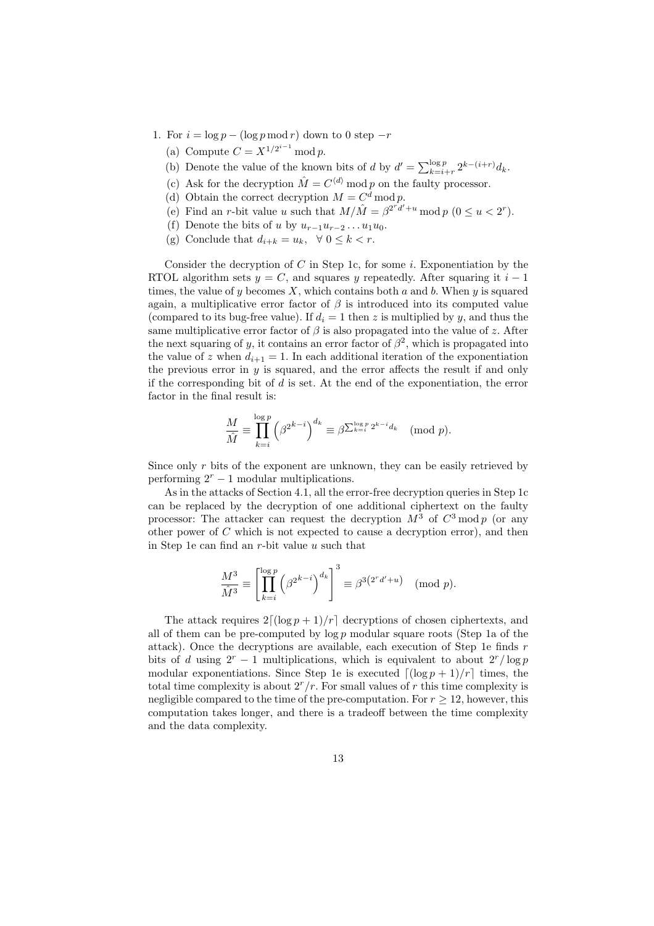- 1. For  $i = \log p (\log p \mod r)$  down to 0 step  $-r$ 
	- (a) Compute  $C = X^{1/2^{i-1}} \mod p$ .
	- (b) Denote the value of the known bits of d by  $d' = \sum_{k=i}^{\log p}$  $_{k=i+r}^{\log p} 2^{k-(i+r)} d_k.$
	- (c) Ask for the decryption  $\hat{M} = C^{\langle d \rangle} \text{ mod } p$  on the faulty processor.
	- (d) Obtain the correct decryption  $M = C<sup>d</sup>$  mod p.
	- (e) Find an r-bit value u such that  $M/\hat{M} = \beta^{2^{r}d'+u} \mod p \ (0 \le u < 2^{r}).$
	- (f) Denote the bits of u by  $u_{r-1}u_{r-2} \ldots u_1u_0$ .
	- (g) Conclude that  $d_{i+k} = u_k, \forall 0 \leq k < r$ .

Consider the decryption of  $C$  in Step 1c, for some  $i$ . Exponentiation by the RTOL algorithm sets  $y = C$ , and squares y repeatedly. After squaring it  $i - 1$ times, the value of y becomes  $X$ , which contains both  $a$  and  $b$ . When y is squared again, a multiplicative error factor of  $\beta$  is introduced into its computed value (compared to its bug-free value). If  $d_i = 1$  then z is multiplied by y, and thus the same multiplicative error factor of  $\beta$  is also propagated into the value of z. After the next squaring of y, it contains an error factor of  $\beta^2$ , which is propagated into the value of z when  $d_{i+1} = 1$ . In each additional iteration of the exponentiation the previous error in  $\gamma$  is squared, and the error affects the result if and only if the corresponding bit of  $d$  is set. At the end of the exponentiation, the error factor in the final result is:

$$
\frac{M}{\hat{M}} \equiv \prod_{k=i}^{\log p} \left(\beta^{2^{k-i}}\right)^{d_k} \equiv \beta^{\sum_{k=i}^{\log p} 2^{k-i} d_k} \pmod{p}.
$$

Since only  $r$  bits of the exponent are unknown, they can be easily retrieved by performing  $2^r - 1$  modular multiplications.

As in the attacks of Section 4.1, all the error-free decryption queries in Step 1c can be replaced by the decryption of one additional ciphertext on the faulty processor: The attacker can request the decryption  $M^3$  of  $C^3 \text{ mod } p$  (or any other power of  $C$  which is not expected to cause a decryption error), and then in Step 1e can find an  $r$ -bit value  $u$  such that

$$
\frac{M^3}{\hat{M}^3} \equiv \left[ \prod_{k=i}^{\log p} \left( \beta^{2^{k-i}} \right)^{d_k} \right]^3 \equiv \beta^{3(2^r d' + u)} \pmod{p}.
$$

The attack requires  $2\lceil (\log p + 1)/r \rceil$  decryptions of chosen ciphertexts, and all of them can be pre-computed by  $\log p$  modular square roots (Step 1a of the attack). Once the decryptions are available, each execution of Step 1e finds r bits of d using  $2^r - 1$  multiplications, which is equivalent to about  $2^r/\log p$ modular exponentiations. Since Step 1e is executed  $\lfloor (\log p + 1)/r \rfloor$  times, the total time complexity is about  $2^r/r$ . For small values of r this time complexity is negligible compared to the time of the pre-computation. For  $r \geq 12$ , however, this computation takes longer, and there is a tradeoff between the time complexity and the data complexity.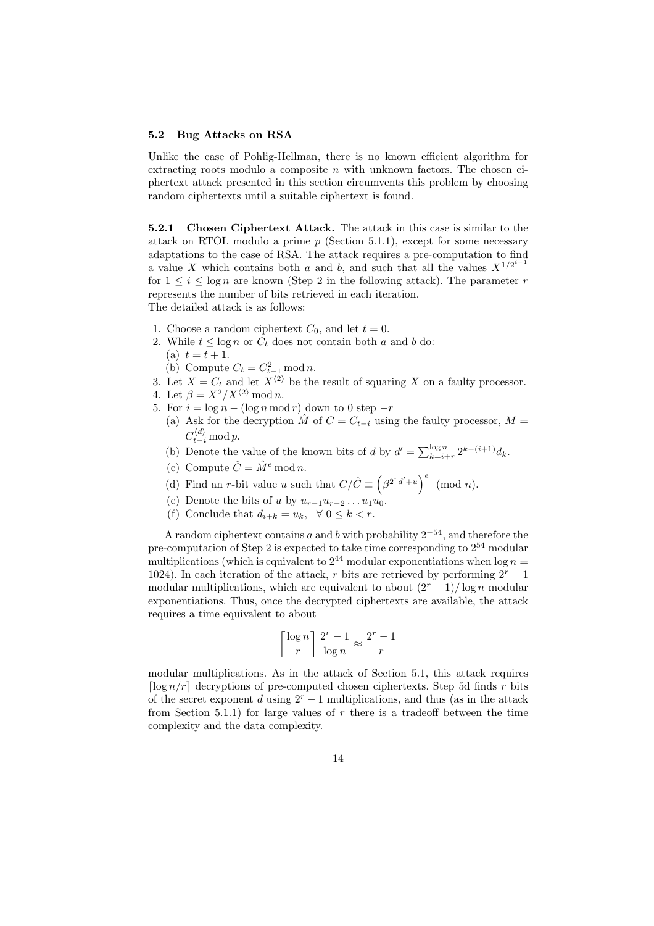#### 5.2 Bug Attacks on RSA

Unlike the case of Pohlig-Hellman, there is no known efficient algorithm for extracting roots modulo a composite  $n$  with unknown factors. The chosen ciphertext attack presented in this section circumvents this problem by choosing random ciphertexts until a suitable ciphertext is found.

5.2.1 Chosen Ciphertext Attack. The attack in this case is similar to the attack on RTOL modulo a prime  $p$  (Section 5.1.1), except for some necessary adaptations to the case of RSA. The attack requires a pre-computation to find a value X which contains both a and b, and such that all the values  $X^{1/2^{i-1}}$ for  $1 \leq i \leq \log n$  are known (Step 2 in the following attack). The parameter r represents the number of bits retrieved in each iteration.

The detailed attack is as follows:

- 1. Choose a random ciphertext  $C_0$ , and let  $t = 0$ .
- 2. While  $t \leq \log n$  or  $C_t$  does not contain both a and b do: (a)  $t = t + 1$ .
- (b) Compute  $C_t = C_{t-1}^2 \text{ mod } n$ .
- 3. Let  $X = C_t$  and let  $X^{\langle 2 \rangle}$  be the result of squaring X on a faulty processor. 4. Let  $\beta = X^2/X^{\langle 2 \rangle} \bmod n$ .
- 5. For  $i = \log n (\log n \mod r)$  down to 0 step  $-r$ 
	- (a) Ask for the decryption  $\hat{M}$  of  $C = C_{t-i}$  using the faulty processor,  $M =$  $C_{t-i}^{\langle d \rangle} \bmod p.$

 $\overline{a}$ 

- (b) Denote the value of the known bits of d by  $d' = \sum_{k=i}^{\log n}$  $_{k=i+r}^{\log n} 2^{k-(i+1)} d_k.$
- (c) Compute  $\hat{C} = \hat{M}^e \mod n$ .
- (d) Find an r-bit value u such that  $C/\hat{C}$  $\beta^{2^r d' + u}$ <sup>e</sup>  $(mod n).$
- (e) Denote the bits of u by  $u_{r-1}u_{r-2} \ldots u_1u_0$ .
- (f) Conclude that  $d_{i+k} = u_k, \forall 0 \leq k < r$ .

A random ciphertext contains a and b with probability  $2^{-54}$ , and therefore the pre-computation of Step 2 is expected to take time corresponding to  $2^{54}$  modular multiplications (which is equivalent to  $2^{44}$  modular exponentiations when log  $n =$ 1024). In each iteration of the attack, r bits are retrieved by performing  $2^r - 1$ modular multiplications, which are equivalent to about  $(2<sup>r</sup> - 1)/\log n$  modular exponentiations. Thus, once the decrypted ciphertexts are available, the attack requires a time equivalent to about

$$
\left\lceil \frac{\log n}{r} \right\rceil \frac{2^r - 1}{\log n} \approx \frac{2^r - 1}{r}
$$

modular multiplications. As in the attack of Section 5.1, this attack requires  $\lceil \log n/r \rceil$  decryptions of pre-computed chosen ciphertexts. Step 5d finds r bits of the secret exponent d using  $2^r - 1$  multiplications, and thus (as in the attack from Section 5.1.1) for large values of r there is a tradeoff between the time complexity and the data complexity.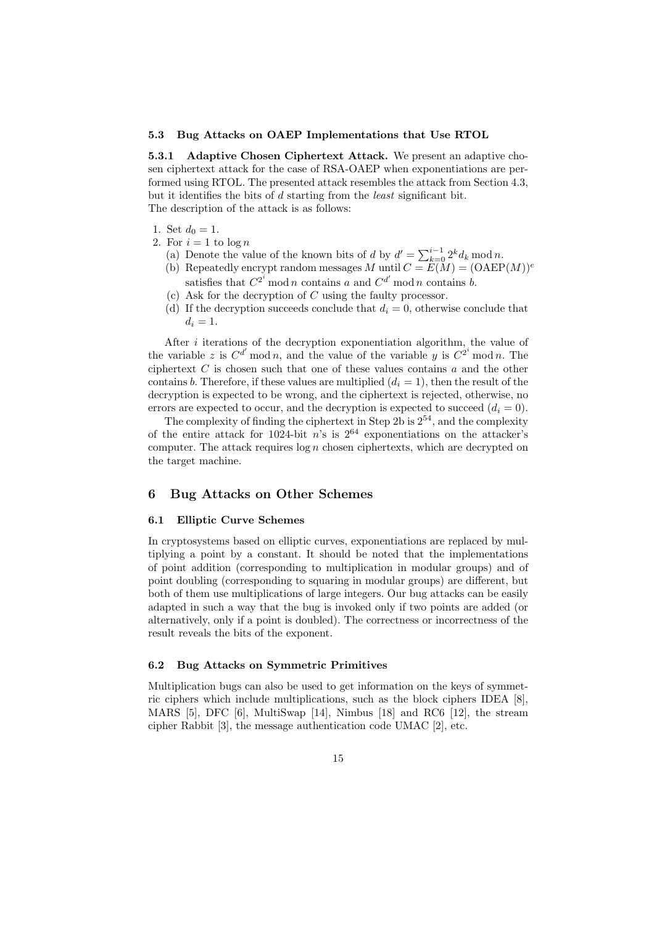#### 5.3 Bug Attacks on OAEP Implementations that Use RTOL

5.3.1 Adaptive Chosen Ciphertext Attack. We present an adaptive chosen ciphertext attack for the case of RSA-OAEP when exponentiations are performed using RTOL. The presented attack resembles the attack from Section 4.3, but it identifies the bits of d starting from the least significant bit. The description of the attack is as follows:

- 1. Set  $d_0 = 1$ .
- 2. For  $i = 1$  to  $\log n$ 
	- For  $i = 1$  to log n<br>
	(a) Denote the value of the known bits of d by  $d' = \sum_{k=0}^{i-1} 2^k d_k \mod n$ .
	- (b) Repeatedly encrypt random messages M until  $C = E(M) = (\text{OAEP}(M))^e$ satisfies that  $C^{2^i} \mod n$  contains a and  $C^{d'} \mod n$  contains b.
	- (c) Ask for the decryption of C using the faulty processor.
	- (d) If the decryption succeeds conclude that  $d_i = 0$ , otherwise conclude that  $d_i = 1$ .

After  $i$  iterations of the decryption exponentiation algorithm, the value of the variable z is  $C^{d'} \mod n$ , and the value of the variable y is  $C^{2^i} \mod n$ . The ciphertext  $C$  is chosen such that one of these values contains  $a$  and the other contains b. Therefore, if these values are multiplied  $(d_i = 1)$ , then the result of the decryption is expected to be wrong, and the ciphertext is rejected, otherwise, no errors are expected to occur, and the decryption is expected to succeed  $(d_i = 0)$ .

The complexity of finding the ciphertext in Step 2b is  $2^{54}$ , and the complexity of the entire attack for 1024-bit  $n$ 's is  $2^{64}$  exponentiations on the attacker's computer. The attack requires  $\log n$  chosen ciphertexts, which are decrypted on the target machine.

### 6 Bug Attacks on Other Schemes

#### 6.1 Elliptic Curve Schemes

In cryptosystems based on elliptic curves, exponentiations are replaced by multiplying a point by a constant. It should be noted that the implementations of point addition (corresponding to multiplication in modular groups) and of point doubling (corresponding to squaring in modular groups) are different, but both of them use multiplications of large integers. Our bug attacks can be easily adapted in such a way that the bug is invoked only if two points are added (or alternatively, only if a point is doubled). The correctness or incorrectness of the result reveals the bits of the exponent.

#### 6.2 Bug Attacks on Symmetric Primitives

Multiplication bugs can also be used to get information on the keys of symmetric ciphers which include multiplications, such as the block ciphers IDEA [8], MARS [5], DFC [6], MultiSwap [14], Nimbus [18] and RC6 [12], the stream cipher Rabbit [3], the message authentication code UMAC [2], etc.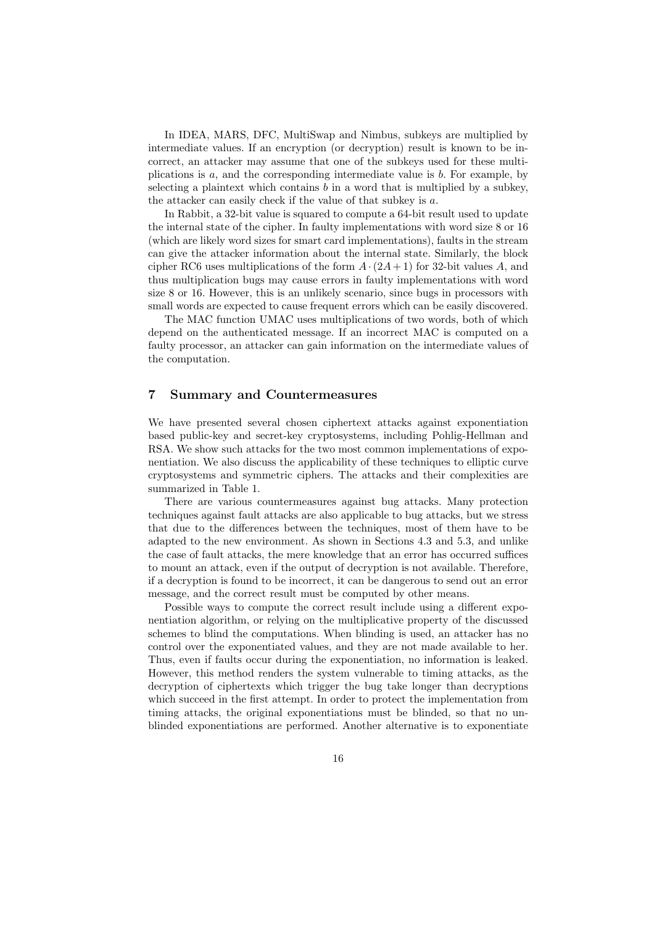In IDEA, MARS, DFC, MultiSwap and Nimbus, subkeys are multiplied by intermediate values. If an encryption (or decryption) result is known to be incorrect, an attacker may assume that one of the subkeys used for these multiplications is  $a$ , and the corresponding intermediate value is  $b$ . For example, by selecting a plaintext which contains  $b$  in a word that is multiplied by a subkey, the attacker can easily check if the value of that subkey is a.

In Rabbit, a 32-bit value is squared to compute a 64-bit result used to update the internal state of the cipher. In faulty implementations with word size 8 or 16 (which are likely word sizes for smart card implementations), faults in the stream can give the attacker information about the internal state. Similarly, the block cipher RC6 uses multiplications of the form  $A \cdot (2A + 1)$  for 32-bit values A, and thus multiplication bugs may cause errors in faulty implementations with word size 8 or 16. However, this is an unlikely scenario, since bugs in processors with small words are expected to cause frequent errors which can be easily discovered.

The MAC function UMAC uses multiplications of two words, both of which depend on the authenticated message. If an incorrect MAC is computed on a faulty processor, an attacker can gain information on the intermediate values of the computation.

### 7 Summary and Countermeasures

We have presented several chosen ciphertext attacks against exponentiation based public-key and secret-key cryptosystems, including Pohlig-Hellman and RSA. We show such attacks for the two most common implementations of exponentiation. We also discuss the applicability of these techniques to elliptic curve cryptosystems and symmetric ciphers. The attacks and their complexities are summarized in Table 1.

There are various countermeasures against bug attacks. Many protection techniques against fault attacks are also applicable to bug attacks, but we stress that due to the differences between the techniques, most of them have to be adapted to the new environment. As shown in Sections 4.3 and 5.3, and unlike the case of fault attacks, the mere knowledge that an error has occurred suffices to mount an attack, even if the output of decryption is not available. Therefore, if a decryption is found to be incorrect, it can be dangerous to send out an error message, and the correct result must be computed by other means.

Possible ways to compute the correct result include using a different exponentiation algorithm, or relying on the multiplicative property of the discussed schemes to blind the computations. When blinding is used, an attacker has no control over the exponentiated values, and they are not made available to her. Thus, even if faults occur during the exponentiation, no information is leaked. However, this method renders the system vulnerable to timing attacks, as the decryption of ciphertexts which trigger the bug take longer than decryptions which succeed in the first attempt. In order to protect the implementation from timing attacks, the original exponentiations must be blinded, so that no unblinded exponentiations are performed. Another alternative is to exponentiate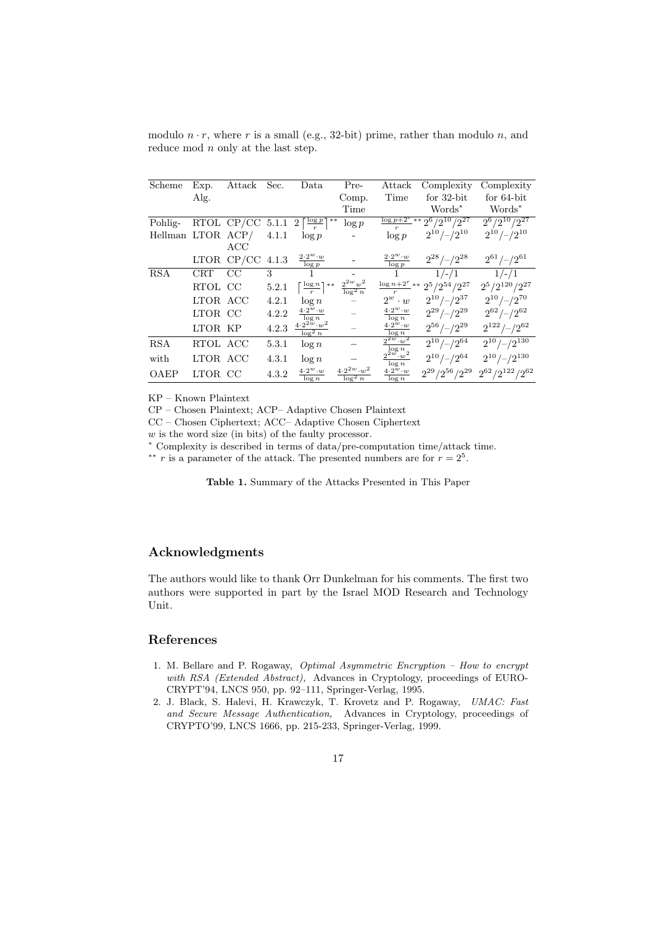modulo  $n \cdot r$ , where r is a small (e.g., 32-bit) prime, rather than modulo n, and reduce mod  $n$  only at the last step.

| Scheme     | Exp.      | Attack     | Sec.  | Data                                              | Pre-                               | $\text{Attack}$                               | Complexity                                                                   | Complexity              |
|------------|-----------|------------|-------|---------------------------------------------------|------------------------------------|-----------------------------------------------|------------------------------------------------------------------------------|-------------------------|
|            | Alg.      |            |       |                                                   | Comp.                              | Time                                          | for $32$ -bit                                                                | for $64$ -bit           |
|            |           |            |       |                                                   | Time                               |                                               | Words <sup>*</sup>                                                           | Words <sup>*</sup>      |
| Pohlig-    |           | RTOL CP/CC | 5.1.1 | $\frac{\log p}{r}$<br>$\overline{2}$              | $\log p$                           |                                               | $\frac{\log p + 2^r}{r}$ ** 2 <sup>6</sup> /2 <sup>10</sup> /2 <sup>27</sup> | $2^6/2^{10}/2^{27}$     |
| Hellman    | LTOR ACP/ |            | 4.1.1 | log p                                             |                                    | $\log p$                                      | $2^{10}/-2^{10}$                                                             | $2^{10}/-2^{10}$        |
|            |           | ACC        |       |                                                   |                                    |                                               |                                                                              |                         |
|            |           | LTOR CP/CC | 4.1.3 | $\frac{2\cdot 2^w\cdot w}{\log p}$                |                                    | $\frac{2\cdot 2^w\cdot w}{\log p}$            | $2^{28}/-2^{28}$                                                             | $2^{61}/-2^{61}$        |
| <b>RSA</b> | CRT       | CC         | 3     |                                                   |                                    |                                               | $1/-/1$                                                                      | $1/-/1$                 |
|            | RTOL CC   |            | 5.2.1 | $\frac{\log n}{r}$ **                             | $2^{2w}w^2$<br>$\log^2 n$          | $\boldsymbol{r}$                              | $\frac{\log n + 2^r}{r}$ ** 2 <sup>5</sup> /2 <sup>54</sup> /2 <sup>27</sup> | $2^5/2^{120}/2^{27}$    |
|            | LTOR ACC  |            | 4.2.1 | $\log n$                                          |                                    | $2^w \cdot w$                                 | $2^{10}/-2^{37}$                                                             | $2^{10}/-2^{70}$        |
|            | LTOR CC   |            | 4.2.2 | $4\cdot 2^w\cdot w$<br>$\log n$                   |                                    | $4\cdot 2^w\cdot w$<br>$\log n$               | $2^{29}/-2^{29}$                                                             | $2^{62}/-2^{62}$        |
|            | LTOR KP   |            | 4.2.3 | $4\cdot 2^{2w} \cdot w^2$<br>$\frac{\log^2 n}{n}$ |                                    | $4\cdot 2^w\cdot w$<br>$\log n$               | $2^{56}/-2^{29}$                                                             | $2^{122}/-2^{62}$       |
| <b>RSA</b> | RTOL ACC  |            | 5.3.1 | $\log n$                                          |                                    | $2^{2w} \cdot w^2$                            | $2^{10}/-2^{64}$                                                             | $2^{10}/-2^{130}$       |
| with       | LTOR ACC  |            | 4.3.1 | $\log n$                                          |                                    | $\frac{\log n}{2^{2w} \cdot w^2}$<br>$\log n$ | $2^{10}/-2^{64}$                                                             | $2^{10}/-2^{130}$       |
| OAEP       | LTOR CC   |            | 4.3.2 | $4\cdot 2^w\cdot w$<br>$\log n$                   | $4.2^{2w} \cdot w^2$<br>$\log^2 n$ | $4\cdot 2^w\cdot w$<br>$\log n$               | $2^{29}/2^{56}/2^{29}$                                                       | $2^{62}/2^{122}/2^{62}$ |

KP – Known Plaintext

CP – Chosen Plaintext; ACP– Adaptive Chosen Plaintext

CC – Chosen Ciphertext; ACC– Adaptive Chosen Ciphertext

w is the word size (in bits) of the faulty processor.

 $^*$  Complexity is described in terms of data/pre-computation time/attack time.

<sup>\*\*</sup> r is a parameter of the attack. The presented numbers are for  $r = 2^5$ .

Table 1. Summary of the Attacks Presented in This Paper

# Acknowledgments

The authors would like to thank Orr Dunkelman for his comments. The first two authors were supported in part by the Israel MOD Research and Technology Unit.

### References

- 1. M. Bellare and P. Rogaway, Optimal Asymmetric Encryption How to encrypt with RSA (Extended Abstract), Advances in Cryptology, proceedings of EURO-CRYPT'94, LNCS 950, pp. 92–111, Springer-Verlag, 1995.
- 2. J. Black, S. Halevi, H. Krawczyk, T. Krovetz and P. Rogaway, UMAC: Fast and Secure Message Authentication, Advances in Cryptology, proceedings of CRYPTO'99, LNCS 1666, pp. 215-233, Springer-Verlag, 1999.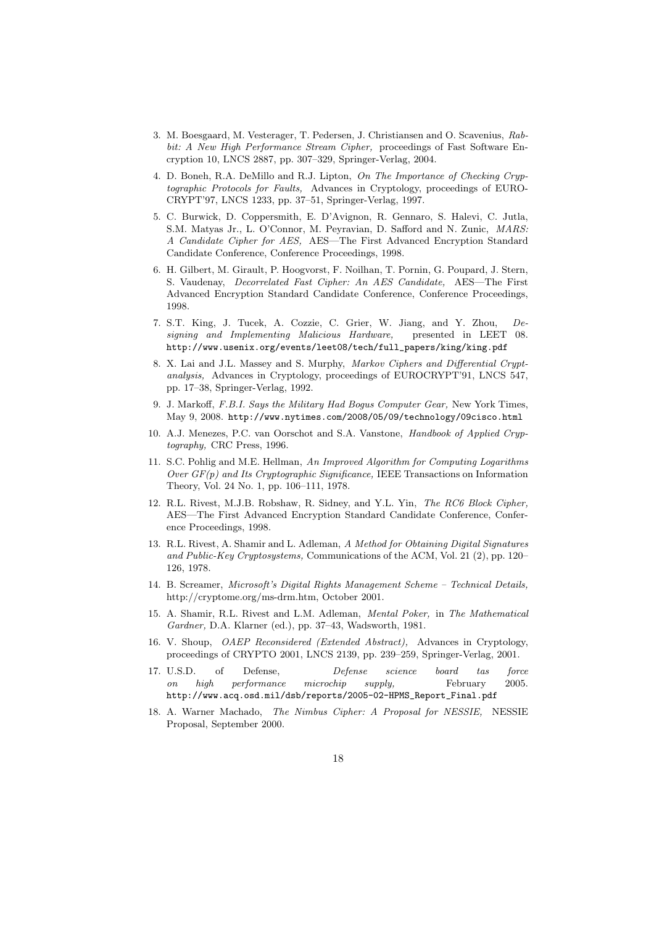- 3. M. Boesgaard, M. Vesterager, T. Pedersen, J. Christiansen and O. Scavenius, Rabbit: A New High Performance Stream Cipher, proceedings of Fast Software Encryption 10, LNCS 2887, pp. 307–329, Springer-Verlag, 2004.
- 4. D. Boneh, R.A. DeMillo and R.J. Lipton, On The Importance of Checking Cryptographic Protocols for Faults, Advances in Cryptology, proceedings of EURO-CRYPT'97, LNCS 1233, pp. 37–51, Springer-Verlag, 1997.
- 5. C. Burwick, D. Coppersmith, E. D'Avignon, R. Gennaro, S. Halevi, C. Jutla, S.M. Matyas Jr., L. O'Connor, M. Peyravian, D. Safford and N. Zunic, MARS: A Candidate Cipher for AES, AES—The First Advanced Encryption Standard Candidate Conference, Conference Proceedings, 1998.
- 6. H. Gilbert, M. Girault, P. Hoogvorst, F. Noilhan, T. Pornin, G. Poupard, J. Stern, S. Vaudenay, Decorrelated Fast Cipher: An AES Candidate, AES—The First Advanced Encryption Standard Candidate Conference, Conference Proceedings, 1998.
- 7. S.T. King, J. Tucek, A. Cozzie, C. Grier, W. Jiang, and Y. Zhou, Designing and Implementing Malicious Hardware, presented in LEET 08. http://www.usenix.org/events/leet08/tech/full\_papers/king/king.pdf
- 8. X. Lai and J.L. Massey and S. Murphy, Markov Ciphers and Differential Cryptanalysis, Advances in Cryptology, proceedings of EUROCRYPT'91, LNCS 547, pp. 17–38, Springer-Verlag, 1992.
- 9. J. Markoff, F.B.I. Says the Military Had Bogus Computer Gear, New York Times, May 9, 2008. http://www.nytimes.com/2008/05/09/technology/09cisco.html
- 10. A.J. Menezes, P.C. van Oorschot and S.A. Vanstone, Handbook of Applied Cryptography, CRC Press, 1996.
- 11. S.C. Pohlig and M.E. Hellman, An Improved Algorithm for Computing Logarithms Over  $GF(p)$  and Its Cryptographic Significance, IEEE Transactions on Information Theory, Vol. 24 No. 1, pp. 106–111, 1978.
- 12. R.L. Rivest, M.J.B. Robshaw, R. Sidney, and Y.L. Yin, The RC6 Block Cipher, AES—The First Advanced Encryption Standard Candidate Conference, Conference Proceedings, 1998.
- 13. R.L. Rivest, A. Shamir and L. Adleman, A Method for Obtaining Digital Signatures and Public-Key Cryptosystems, Communications of the ACM, Vol. 21 (2), pp. 120– 126, 1978.
- 14. B. Screamer, Microsoft's Digital Rights Management Scheme Technical Details, http://cryptome.org/ms-drm.htm, October 2001.
- 15. A. Shamir, R.L. Rivest and L.M. Adleman, Mental Poker, in The Mathematical Gardner, D.A. Klarner (ed.), pp. 37–43, Wadsworth, 1981.
- 16. V. Shoup, OAEP Reconsidered (Extended Abstract), Advances in Cryptology, proceedings of CRYPTO 2001, LNCS 2139, pp. 239–259, Springer-Verlag, 2001.
- 17. U.S.D. of Defense, Defense science board tas force on high performance microchip supply, February 2005. http://www.acq.osd.mil/dsb/reports/2005-02-HPMS\_Report\_Final.pdf
- 18. A. Warner Machado, The Nimbus Cipher: A Proposal for NESSIE, NESSIE Proposal, September 2000.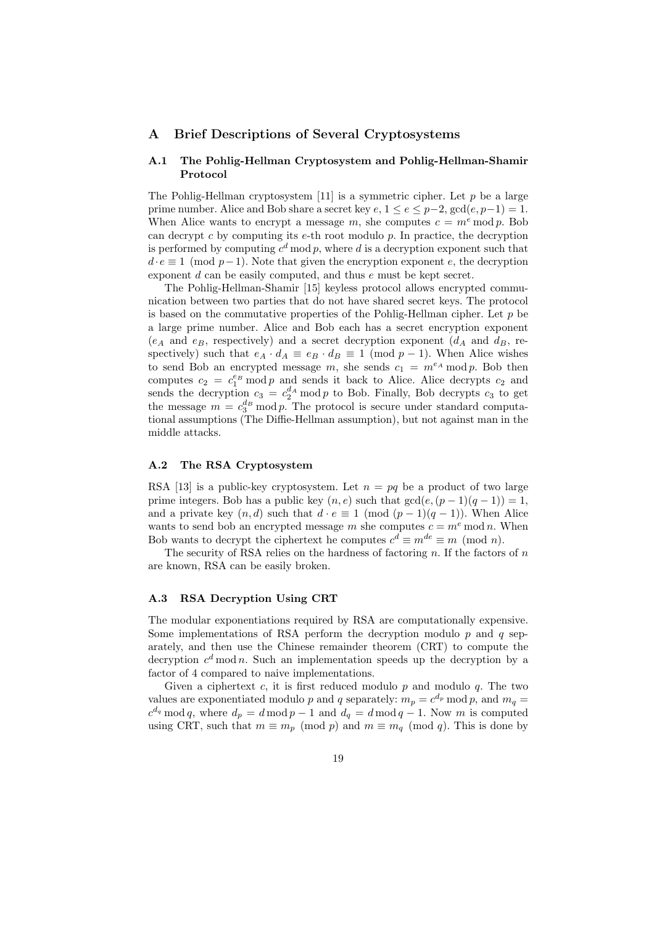### A Brief Descriptions of Several Cryptosystems

### A.1 The Pohlig-Hellman Cryptosystem and Pohlig-Hellman-Shamir Protocol

The Pohlig-Hellman cryptosystem  $[11]$  is a symmetric cipher. Let p be a large prime number. Alice and Bob share a secret key  $e, 1 \le e \le p-2$ ,  $gcd(e, p-1) = 1$ . When Alice wants to encrypt a message m, she computes  $c = m^e \mod p$ . Bob can decrypt  $c$  by computing its  $e$ -th root modulo  $p$ . In practice, the decryption is performed by computing  $c^d \mod p$ , where d is a decryption exponent such that  $d \cdot e \equiv 1 \pmod{p-1}$ . Note that given the encryption exponent e, the decryption exponent d can be easily computed, and thus e must be kept secret.

The Pohlig-Hellman-Shamir [15] keyless protocol allows encrypted communication between two parties that do not have shared secret keys. The protocol is based on the commutative properties of the Pohlig-Hellman cipher. Let  $p$  be a large prime number. Alice and Bob each has a secret encryption exponent  $(e_A \text{ and } e_B, \text{ respectively})$  and a secret decryption exponent  $(d_A \text{ and } d_B, \text{ re-}$ spectively) such that  $e_A \cdot d_A \equiv e_B \cdot d_B \equiv 1 \pmod{p-1}$ . When Alice wishes to send Bob an encrypted message m, she sends  $c_1 = m^{e_A} \mod p$ . Bob then computes  $c_2 = c_1^{e_B} \mod p$  and sends it back to Alice. Alice decrypts  $c_2$  and sends the decryption  $c_3 = c_2^{d_A} \mod p$  to Bob. Finally, Bob decrypts  $c_3$  to get the message  $m = c_3^{d_B} \mod p$ . The protocol is secure under standard computational assumptions (The Diffie-Hellman assumption), but not against man in the middle attacks.

#### A.2 The RSA Cryptosystem

RSA [13] is a public-key cryptosystem. Let  $n = pq$  be a product of two large prime integers. Bob has a public key  $(n, e)$  such that  $gcd(e, (p-1)(q-1)) = 1$ , and a private key  $(n, d)$  such that  $d \cdot e \equiv 1 \pmod{(p-1)(q-1)}$ . When Alice wants to send bob an encrypted message m she computes  $c = m^e \mod n$ . When Bob wants to decrypt the ciphertext he computes  $c^d \equiv m^{de} \equiv m \pmod{n}$ .

The security of RSA relies on the hardness of factoring n. If the factors of n are known, RSA can be easily broken.

#### A.3 RSA Decryption Using CRT

The modular exponentiations required by RSA are computationally expensive. Some implementations of RSA perform the decryption modulo  $p$  and  $q$  separately, and then use the Chinese remainder theorem (CRT) to compute the decryption  $c^d \mod n$ . Such an implementation speeds up the decryption by a factor of 4 compared to naive implementations.

Given a ciphertext  $c$ , it is first reduced modulo  $p$  and modulo  $q$ . The two values are exponentiated modulo p and q separately:  $m_p = c^{d_p} \mod p$ , and  $m_q =$  $c^{d_q} \mod q$ , where  $d_p = d \mod p - 1$  and  $d_q = d \mod q - 1$ . Now m is computed using CRT, such that  $m \equiv m_p \pmod{p}$  and  $m \equiv m_q \pmod{q}$ . This is done by